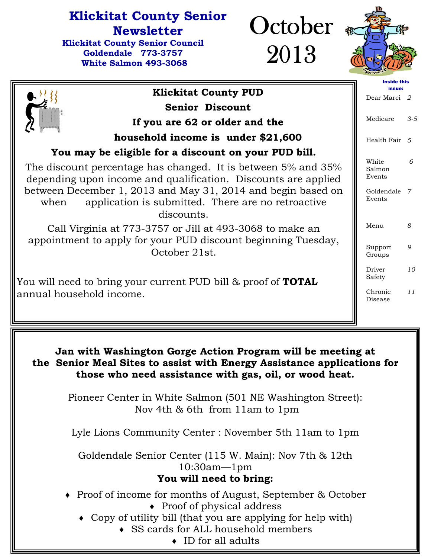## **Klickitat County Senior Newsletter**

**Klickitat County Senior Council Goldendale 773-3757 White Salmon 493-3068** 

October 2013



| Dear Marci <sub>2</sub><br><b>Senior Discount</b><br>Medicare<br>If you are 62 or older and the<br>household income is under \$21,600<br>Health Fair 5<br>You may be eligible for a discount on your PUD bill.<br>White<br>6<br>The discount percentage has changed. It is between 5% and 35%<br>Salmon<br>Events<br>depending upon income and qualification. Discounts are applied<br>between December 1, 2013 and May 31, 2014 and begin based on<br>Goldendale 7<br>Events<br>application is submitted. There are no retroactive<br>when<br>discounts.<br>Menu<br>8<br>Call Virginia at 773-3757 or Jill at 493-3068 to make an<br>appointment to apply for your PUD discount beginning Tuesday,<br>Support<br>9<br>October 21st.<br>Groups<br>Driver<br>Safety<br>You will need to bring your current PUD bill & proof of <b>TOTAL</b><br>Chronic<br>annual household income.<br>Disease | <b>Klickitat County PUD</b> | issue: |                 |
|----------------------------------------------------------------------------------------------------------------------------------------------------------------------------------------------------------------------------------------------------------------------------------------------------------------------------------------------------------------------------------------------------------------------------------------------------------------------------------------------------------------------------------------------------------------------------------------------------------------------------------------------------------------------------------------------------------------------------------------------------------------------------------------------------------------------------------------------------------------------------------------------|-----------------------------|--------|-----------------|
|                                                                                                                                                                                                                                                                                                                                                                                                                                                                                                                                                                                                                                                                                                                                                                                                                                                                                              |                             |        |                 |
|                                                                                                                                                                                                                                                                                                                                                                                                                                                                                                                                                                                                                                                                                                                                                                                                                                                                                              |                             |        | $3 - 5$         |
|                                                                                                                                                                                                                                                                                                                                                                                                                                                                                                                                                                                                                                                                                                                                                                                                                                                                                              |                             |        |                 |
|                                                                                                                                                                                                                                                                                                                                                                                                                                                                                                                                                                                                                                                                                                                                                                                                                                                                                              |                             |        |                 |
|                                                                                                                                                                                                                                                                                                                                                                                                                                                                                                                                                                                                                                                                                                                                                                                                                                                                                              |                             |        |                 |
|                                                                                                                                                                                                                                                                                                                                                                                                                                                                                                                                                                                                                                                                                                                                                                                                                                                                                              |                             |        |                 |
|                                                                                                                                                                                                                                                                                                                                                                                                                                                                                                                                                                                                                                                                                                                                                                                                                                                                                              |                             |        |                 |
|                                                                                                                                                                                                                                                                                                                                                                                                                                                                                                                                                                                                                                                                                                                                                                                                                                                                                              |                             |        |                 |
|                                                                                                                                                                                                                                                                                                                                                                                                                                                                                                                                                                                                                                                                                                                                                                                                                                                                                              |                             |        | 10 <sup>2</sup> |
|                                                                                                                                                                                                                                                                                                                                                                                                                                                                                                                                                                                                                                                                                                                                                                                                                                                                                              |                             |        | 11              |
|                                                                                                                                                                                                                                                                                                                                                                                                                                                                                                                                                                                                                                                                                                                                                                                                                                                                                              |                             |        |                 |

**Jan with Washington Gorge Action Program will be meeting at the Senior Meal Sites to assist with Energy Assistance applications for those who need assistance with gas, oil, or wood heat.** 

Pioneer Center in White Salmon (501 NE Washington Street): Nov 4th & 6th from 11am to 1pm

Lyle Lions Community Center : November 5th 11am to 1pm

Goldendale Senior Center (115 W. Main): Nov 7th & 12th 10:30am—1pm

## **You will need to bring:**

- ♦ Proof of income for months of August, September & October • Proof of physical address
	- $\bullet$  Copy of utility bill (that you are applying for help with)
		- ♦ SS cards for ALL household members
			- ♦ ID for all adults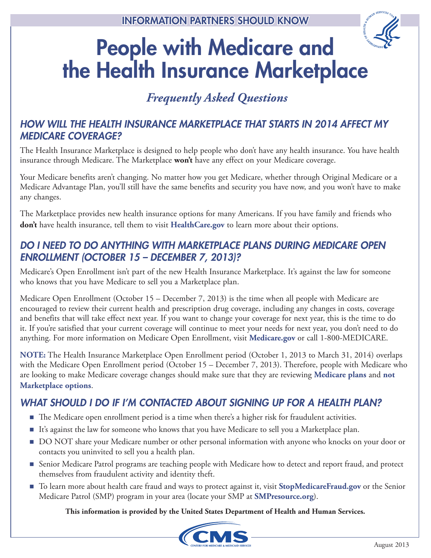

## People with Medicare and the Health Insurance Marketplace

## *Frequently Asked Questions*

#### *HOW WILL THE HEALTH INSURANCE MARKETPLACE THAT STARTS IN 2014 AFFECT MY MEDICARE COVERAGE?*

The Health Insurance Marketplace is designed to help people who don't have any health insurance. You have health insurance through Medicare. The Marketplace **won't** have any effect on your Medicare coverage.

Your Medicare benefits aren't changing. No matter how you get Medicare, whether through Original Medicare or a Medicare Advantage Plan, you'll still have the same benefits and security you have now, and you won't have to make any changes.

The Marketplace provides new health insurance options for many Americans. If you have family and friends who **don't** have health insurance, tell them to visit **[HealthCare.gov](http://www.HealthCare.gov)** to learn more about their options.

### *DO I NEED TO DO ANYTHING WITH MARKETPLACE PLANS DURING MEDICARE OPEN ENROLLMENT (OCTOBER 15 – DECEMBER 7, 2013)?*

Medicare's Open Enrollment isn't part of the new Health Insurance Marketplace. It's against the law for someone who knows that you have Medicare to sell you a Marketplace plan.

Medicare Open Enrollment (October 15 – December 7, 2013) is the time when all people with Medicare are encouraged to review their current health and prescription drug coverage, including any changes in costs, coverage and benefits that will take effect next year. If you want to change your coverage for next year, this is the time to do it. If you're satisfied that your current coverage will continue to meet your needs for next year, you don't need to do anything. For more information on Medicare Open Enrollment, visit **[Medicare.gov](http://www.Medicare.gov)** or call 1-800-MEDICARE.

**NOTE:** The Health Insurance Marketplace Open Enrollment period (October 1, 2013 to March 31, 2014) overlaps with the Medicare Open Enrollment period (October 15 – December 7, 2013). Therefore, people with Medicare who are looking to make Medicare coverage changes should make sure that they are reviewing **Medicare plans** and **not Marketplace options**.

## *WHAT SHOULD I DO IF I'M CONTACTED ABOUT SIGNING UP FOR A HEALTH PLAN?*

- The Medicare open enrollment period is a time when there's a higher risk for fraudulent activities.
- It's against the law for someone who knows that you have Medicare to sell you a Marketplace plan.
- DO NOT share your Medicare number or other personal information with anyone who knocks on your door or contacts you uninvited to sell you a health plan.
- Senior Medicare Patrol programs are teaching people with Medicare how to detect and report fraud, and protect themselves from fraudulent activity and identity theft.
- To learn more about health care fraud and ways to protect against it, visit **[StopMedicareFraud.gov](http://www.StopMedicareFraud.gov)** or the Senior Medicare Patrol (SMP) program in your area (locate your SMP at **[SMPresource.org](http://www.SMPresource.org)**).

**This information is provided by the United States Department of Health and Human Services.**

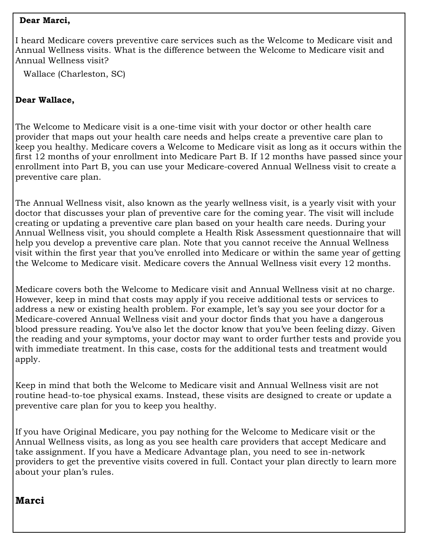#### **Dear Marci,**

I heard Medicare covers preventive care services such as the Welcome to Medicare visit and Annual Wellness visits. What is the difference between the Welcome to Medicare visit and Annual Wellness visit?

Wallace (Charleston, SC)

#### **Dear Wallace,**

The Welcome to Medicare visit is a one-time visit with your doctor or other health care provider that maps out your health care needs and helps create a preventive care plan to keep you healthy. Medicare covers a Welcome to Medicare visit as long as it occurs within the first 12 months of your enrollment into Medicare Part B. If 12 months have passed since your enrollment into Part B, you can use your Medicare-covered Annual Wellness visit to create a preventive care plan.

The Annual Wellness visit, also known as the yearly wellness visit, is a yearly visit with your doctor that discusses your plan of preventive care for the coming year. The visit will include creating or updating a preventive care plan based on your health care needs. During your Annual Wellness visit, you should complete a Health Risk Assessment questionnaire that will help you develop a preventive care plan. Note that you cannot receive the Annual Wellness visit within the first year that you've enrolled into Medicare or within the same year of getting the Welcome to Medicare visit. Medicare covers the Annual Wellness visit every 12 months.

Medicare covers both the Welcome to Medicare visit and Annual Wellness visit at no charge. However, keep in mind that costs may apply if you receive additional tests or services to address a new or existing health problem. For example, let's say you see your doctor for a Medicare-covered Annual Wellness visit and your doctor finds that you have a dangerous blood pressure reading. You've also let the doctor know that you've been feeling dizzy. Given the reading and your symptoms, your doctor may want to order further tests and provide you with immediate treatment. In this case, costs for the additional tests and treatment would apply.

Keep in mind that both the Welcome to Medicare visit and Annual Wellness visit are not routine head-to-toe physical exams. Instead, these visits are designed to create or update a preventive care plan for you to keep you healthy.

If you have Original Medicare, you pay nothing for the Welcome to Medicare visit or the Annual Wellness visits, as long as you see health care providers that accept Medicare and take assignment. If you have a Medicare Advantage plan, you need to see in-network providers to get the preventive visits covered in full. Contact your plan directly to learn more about your plan's rules.

### **Marci**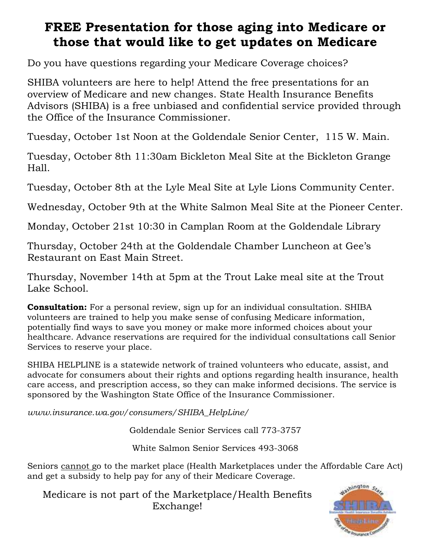## **FREE Presentation for those aging into Medicare or those that would like to get updates on Medicare**

Do you have questions regarding your Medicare Coverage choices?

SHIBA volunteers are here to help! Attend the free presentations for an overview of Medicare and new changes. State Health Insurance Benefits Advisors (SHIBA) is a free unbiased and confidential service provided through the Office of the Insurance Commissioner.

Tuesday, October 1st Noon at the Goldendale Senior Center, 115 W. Main.

Tuesday, October 8th 11:30am Bickleton Meal Site at the Bickleton Grange Hall.

Tuesday, October 8th at the Lyle Meal Site at Lyle Lions Community Center.

Wednesday, October 9th at the White Salmon Meal Site at the Pioneer Center.

Monday, October 21st 10:30 in Camplan Room at the Goldendale Library

Thursday, October 24th at the Goldendale Chamber Luncheon at Gee's Restaurant on East Main Street.

Thursday, November 14th at 5pm at the Trout Lake meal site at the Trout Lake School.

**Consultation:** For a personal review, sign up for an individual consultation. SHIBA volunteers are trained to help you make sense of confusing Medicare information, potentially find ways to save you money or make more informed choices about your healthcare. Advance reservations are required for the individual consultations call Senior Services to reserve your place.

SHIBA HELPLINE is a statewide network of trained volunteers who educate, assist, and advocate for consumers about their rights and options regarding health insurance, health care access, and prescription access, so they can make informed decisions. The service is sponsored by the Washington State Office of the Insurance Commissioner.

*www.insurance.wa.gov/consumers/SHIBA\_HelpLine/* 

Goldendale Senior Services call 773-3757

White Salmon Senior Services 493-3068

Seniors cannot go to the market place (Health Marketplaces under the Affordable Care Act) and get a subsidy to help pay for any of their Medicare Coverage.

Medicare is not part of the Marketplace/Health Benefits Exchange!

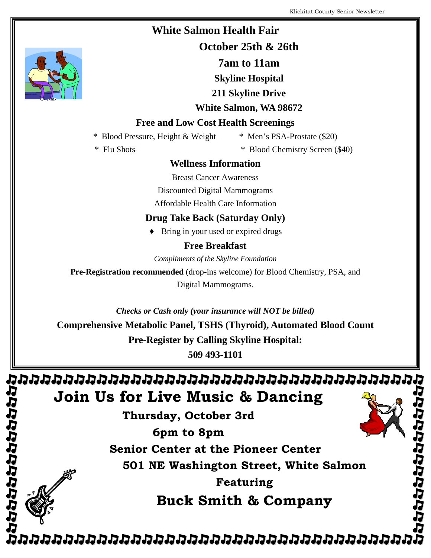| <b>White Salmon Health Fair</b>                                               |                                |                                 |  |  |  |  |  |
|-------------------------------------------------------------------------------|--------------------------------|---------------------------------|--|--|--|--|--|
| October 25th & 26th                                                           |                                |                                 |  |  |  |  |  |
|                                                                               | 7am to 11am                    |                                 |  |  |  |  |  |
|                                                                               |                                | <b>Skyline Hospital</b>         |  |  |  |  |  |
|                                                                               | <b>211 Skyline Drive</b>       |                                 |  |  |  |  |  |
|                                                                               |                                | <b>White Salmon, WA 98672</b>   |  |  |  |  |  |
| <b>Free and Low Cost Health Screenings</b>                                    |                                |                                 |  |  |  |  |  |
| * Blood Pressure, Height & Weight<br>* Men's PSA-Prostate (\$20)              |                                |                                 |  |  |  |  |  |
|                                                                               | * Flu Shots                    | * Blood Chemistry Screen (\$40) |  |  |  |  |  |
|                                                                               | <b>Wellness Information</b>    |                                 |  |  |  |  |  |
|                                                                               | <b>Breast Cancer Awareness</b> |                                 |  |  |  |  |  |
| Discounted Digital Mammograms                                                 |                                |                                 |  |  |  |  |  |
| Affordable Health Care Information                                            |                                |                                 |  |  |  |  |  |
| <b>Drug Take Back (Saturday Only)</b>                                         |                                |                                 |  |  |  |  |  |
| Bring in your used or expired drugs                                           |                                |                                 |  |  |  |  |  |
| <b>Free Breakfast</b>                                                         |                                |                                 |  |  |  |  |  |
| Compliments of the Skyline Foundation                                         |                                |                                 |  |  |  |  |  |
| Pre-Registration recommended (drop-ins welcome) for Blood Chemistry, PSA, and |                                |                                 |  |  |  |  |  |
| Digital Mammograms.                                                           |                                |                                 |  |  |  |  |  |
|                                                                               |                                |                                 |  |  |  |  |  |
| Checks or Cash only (your insurance will NOT be billed)                       |                                |                                 |  |  |  |  |  |
| <b>Comprehensive Metabolic Panel, TSHS (Thyroid), Automated Blood Count</b>   |                                |                                 |  |  |  |  |  |

**Pre-Register by Calling Skyline Hospital:** 

**509 493-1101** 

いりりりりひじりじりじりじしいいいいいいいいじじしいいいいいいいいいい ないさんさんでんけん **Join Us for Live Music & Dancing** 

**Thursday, October 3rd 6pm to 8pm Senior Center at the Pioneer Center 501 NE Washington Street, White Salmon Featuring** 

**Buck Smith & Company** 

にしただけ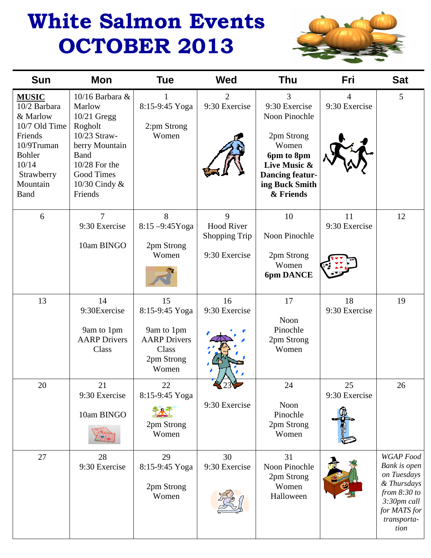## **White Salmon Events OCTOBER 2013**



| <b>Sun</b>                                                                                                                                            | Mon                                                                                                                                                                    | <b>Tue</b>                                                                                | <b>Wed</b>                                               | <b>Thu</b>                                                                                                                                        | <b>Fri</b>                      | <b>Sat</b>                                                                                                                             |
|-------------------------------------------------------------------------------------------------------------------------------------------------------|------------------------------------------------------------------------------------------------------------------------------------------------------------------------|-------------------------------------------------------------------------------------------|----------------------------------------------------------|---------------------------------------------------------------------------------------------------------------------------------------------------|---------------------------------|----------------------------------------------------------------------------------------------------------------------------------------|
| <b>MUSIC</b><br>10/2 Barbara<br>& Marlow<br>10/7 Old Time<br>Friends<br>10/9Truman<br><b>Bohler</b><br>10/14<br>Strawberry<br>Mountain<br><b>Band</b> | 10/16 Barbara $\&$<br>Marlow<br>$10/21$ Gregg<br>Rogholt<br>10/23 Straw-<br>berry Mountain<br><b>Band</b><br>$10/28$ For the<br>Good Times<br>10/30 Cindy &<br>Friends | 8:15-9:45 Yoga<br>2:pm Strong<br>Women                                                    | $\overline{2}$<br>9:30 Exercise                          | 3<br>9:30 Exercise<br>Noon Pinochle<br>2pm Strong<br>Women<br>6pm to 8pm<br>Live Music &<br><b>Dancing featur-</b><br>ing Buck Smith<br>& Friends | $\overline{4}$<br>9:30 Exercise | 5                                                                                                                                      |
| 6                                                                                                                                                     | $\overline{7}$<br>9:30 Exercise<br>10am BINGO                                                                                                                          | 8<br>$8:15 - 9:45Y$ oga<br>2pm Strong<br>Women                                            | 9<br><b>Hood River</b><br>Shopping Trip<br>9:30 Exercise | 10<br>Noon Pinochle<br>2pm Strong<br>Women<br><b>6pm DANCE</b>                                                                                    | 11<br>9:30 Exercise             | 12                                                                                                                                     |
| 13                                                                                                                                                    | 14<br>9:30Exercise<br>9am to 1pm<br><b>AARP</b> Drivers<br>Class                                                                                                       | 15<br>8:15-9:45 Yoga<br>9am to 1pm<br><b>AARP</b> Drivers<br>Class<br>2pm Strong<br>Women | 16<br>9:30 Exercise                                      | 17<br>Noon<br>Pinochle<br>2pm Strong<br>Women                                                                                                     | 18<br>9:30 Exercise             | 19                                                                                                                                     |
| 20                                                                                                                                                    | 21<br>9:30 Exercise<br>10am BINGO                                                                                                                                      | 22<br>8:15-9:45 Yoga<br>2pm Strong<br>Women                                               | 9:30 Exercise                                            | 24<br>Noon<br>Pinochle<br>2pm Strong<br>Women                                                                                                     | 25<br>9:30 Exercise             | 26                                                                                                                                     |
| 27                                                                                                                                                    | 28<br>9:30 Exercise                                                                                                                                                    | 29<br>8:15-9:45 Yoga<br>2pm Strong<br>Women                                               | 30<br>9:30 Exercise                                      | 31<br>Noon Pinochle<br>2pm Strong<br>Women<br>Halloween                                                                                           |                                 | <b>WGAP</b> Food<br>Bank is open<br>on Tuesdays<br>& Thursdays<br>from $8:30$ to<br>3:30pm call<br>for MATS for<br>transporta-<br>tion |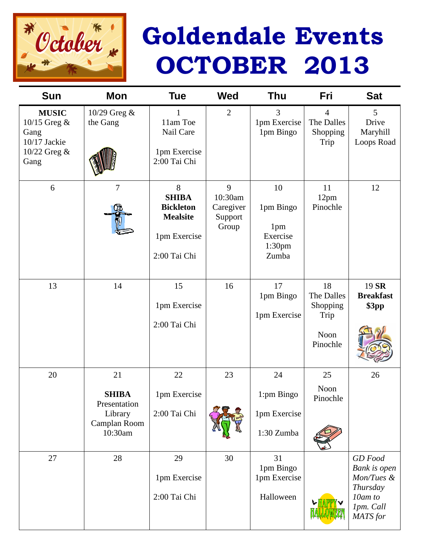

# **Goldendale Events OCTOBER 2013**

| <b>Sun</b>                                                                     | Mon                                                                      | <b>Tue</b>                                                                               | <b>Wed</b>                                    | <b>Thu</b>                                                        | Fri                                                      | <b>Sat</b>                                                                            |
|--------------------------------------------------------------------------------|--------------------------------------------------------------------------|------------------------------------------------------------------------------------------|-----------------------------------------------|-------------------------------------------------------------------|----------------------------------------------------------|---------------------------------------------------------------------------------------|
| <b>MUSIC</b><br>$10/15$ Greg &<br>Gang<br>10/17 Jackie<br>10/22 Greg &<br>Gang | 10/29 Greg &<br>the Gang                                                 | 1<br>11am Toe<br>Nail Care<br>1pm Exercise<br>2:00 Tai Chi                               | $\overline{2}$                                | 3<br>1pm Exercise<br>1pm Bingo                                    | $\overline{4}$<br>The Dalles<br>Shopping<br>Trip         | 5<br>Drive<br>Maryhill<br>Loops Road                                                  |
| 6                                                                              | 7                                                                        | 8<br><b>SHIBA</b><br><b>Bickleton</b><br><b>Mealsite</b><br>1pm Exercise<br>2:00 Tai Chi | 9<br>10:30am<br>Caregiver<br>Support<br>Group | 10<br>1pm Bingo<br>1pm<br>Exercise<br>1:30 <sub>pm</sub><br>Zumba | 11<br>12pm<br>Pinochle                                   | 12                                                                                    |
| 13                                                                             | 14                                                                       | 15<br>1pm Exercise<br>2:00 Tai Chi                                                       | 16                                            | 17<br>1pm Bingo<br>1pm Exercise                                   | 18<br>The Dalles<br>Shopping<br>Trip<br>Noon<br>Pinochle | 19 SR<br><b>Breakfast</b><br>\$3pp                                                    |
| 20                                                                             | 21<br><b>SHIBA</b><br>Presentation<br>Library<br>Camplan Room<br>10:30am | 22<br>1pm Exercise<br>2:00 Tai Chi                                                       | 23                                            | 24<br>1:pm Bingo<br>1pm Exercise<br>1:30 Zumba                    | 25<br>Noon<br>Pinochle                                   | 26                                                                                    |
| 27                                                                             | 28                                                                       | 29<br>1pm Exercise<br>2:00 Tai Chi                                                       | 30                                            | 31<br>1pm Bingo<br>1pm Exercise<br>Halloween                      |                                                          | GD Food<br>Bank is open<br>Mon/Tues &<br>Thursday<br>10am to<br>1pm. Call<br>MATS for |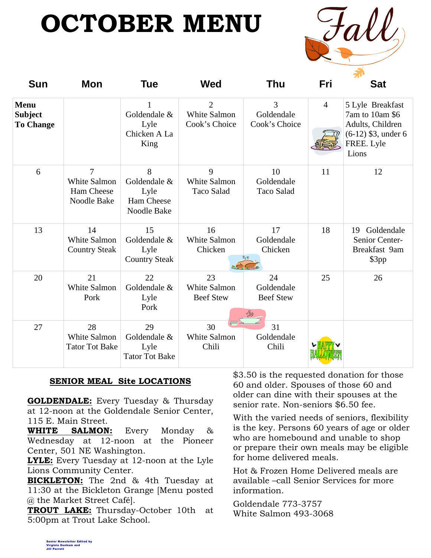## **OCTOBER MENU**



| <b>Sun</b>                                        | Mon                                                                | <b>Tue</b>                                                    | <b>Wed</b>                                      | Thu                                           | Fri            | <b>Sat</b>                                                                                              |
|---------------------------------------------------|--------------------------------------------------------------------|---------------------------------------------------------------|-------------------------------------------------|-----------------------------------------------|----------------|---------------------------------------------------------------------------------------------------------|
| <b>Menu</b><br><b>Subject</b><br><b>To Change</b> |                                                                    | $\mathbf{1}$<br>Goldendale &<br>Lyle<br>Chicken A La<br>King  | $\overline{2}$<br>White Salmon<br>Cook's Choice | $\overline{3}$<br>Goldendale<br>Cook's Choice | $\overline{4}$ | 5 Lyle Breakfast<br>7am to 10am \$6<br>Adults, Children<br>$(6-12)$ \$3, under 6<br>FREE. Lyle<br>Lions |
| 6                                                 | $\overline{7}$<br>White Salmon<br>Ham Cheese<br><b>Noodle Bake</b> | 8<br>Goldendale &<br>Lyle<br>Ham Cheese<br><b>Noodle Bake</b> | 9<br>White Salmon<br><b>Taco Salad</b>          | 10<br>Goldendale<br>Taco Salad                | 11             | 12                                                                                                      |
| 13                                                | 14<br><b>White Salmon</b><br><b>Country Steak</b>                  | 15<br>Goldendale &<br>Lyle<br><b>Country Steak</b>            | 16<br>White Salmon<br>Chicken                   | 17<br>Goldendale<br>Chicken                   | 18             | Goldendale<br>19<br>Senior Center-<br>Breakfast 9am<br>\$3pp                                            |
| 20                                                | 21<br><b>White Salmon</b><br>Pork                                  | 22<br>Goldendale &<br>Lyle<br>Pork                            | 23<br>White Salmon<br><b>Beef Stew</b>          | 24<br>Goldendale<br><b>Beef Stew</b>          | 25             | 26                                                                                                      |
| 27                                                | 28<br><b>White Salmon</b><br><b>Tator Tot Bake</b>                 | 29<br>Goldendale &<br>Lyle<br><b>Tator Tot Bake</b>           | 30<br>White Salmon<br>Chili                     | 31<br>Goldendale<br>Chili                     |                |                                                                                                         |

#### **SENIOR MEAL Site LOCATIONS**

**GOLDENDALE:** Every Tuesday & Thursday at 12-noon at the Goldendale Senior Center, 115 E. Main Street.

**WHITE SALMON:** Every Monday & Wednesday at 12-noon at the Pioneer Center, 501 NE Washington.

**LYLE:** Every Tuesday at 12-noon at the Lyle Lions Community Center.

**BICKLETON:** The 2nd & 4th Tuesday at 11:30 at the Bickleton Grange [Menu posted @ the Market Street Café].

**TROUT LAKE:** Thursday-October 10th at 5:00pm at Trout Lake School.

\$3.50 is the requested donation for those 60 and older. Spouses of those 60 and older can dine with their spouses at the senior rate. Non-seniors \$6.50 fee.

With the varied needs of seniors, flexibility is the key. Persons 60 years of age or older who are homebound and unable to shop or prepare their own meals may be eligible for home delivered meals.

Hot & Frozen Home Delivered meals are available –call Senior Services for more information.

Goldendale 773-3757 White Salmon 493-3068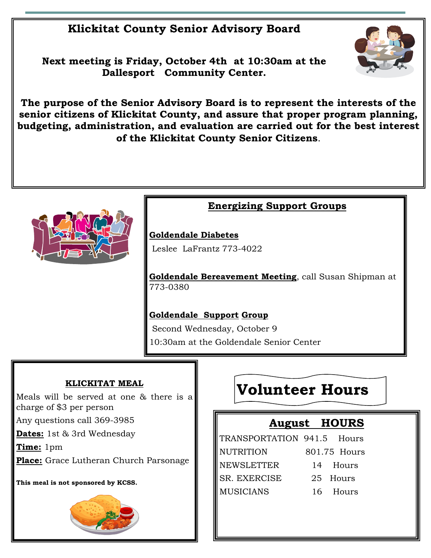## **Klickitat County Senior Advisory Board**

**Next meeting is Friday, October 4th at 10:30am at the Dallesport Community Center.** 

**The purpose of the Senior Advisory Board is to represent the interests of the senior citizens of Klickitat County, and assure that proper program planning, budgeting, administration, and evaluation are carried out for the best interest of the Klickitat County Senior Citizens**.



### **Energizing Support Groups**

#### **Goldendale Diabetes**

Leslee LaFrantz 773-4022

**Goldendale Bereavement Meeting**, call Susan Shipman at 773-0380

#### **Goldendale Support Group**

Second Wednesday, October 9 10:30am at the Goldendale Senior Center

#### **KLICKITAT MEAL**

Meals will be served at one & there is a charge of \$3 per person

Any questions call 369-3985

**Dates:** 1st & 3rd Wednesday

**Time:** 1pm

**Place:** Grace Lutheran Church Parsonage

**This meal is not sponsored by KCSS.** 



## **Volunteer Hours**

## **August HOURS**

TRANSPORTATION 941.5 Hours NUTRITION 801.75 Hours NEWSLETTER 14 Hours SR. EXERCISE 25 Hours MUSICIANS 16 Hours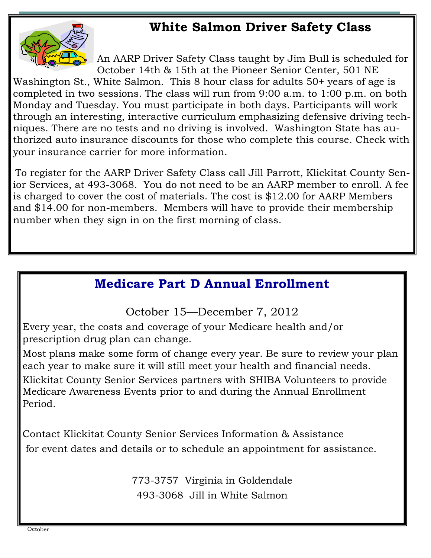## **White Salmon Driver Safety Class**



An AARP Driver Safety Class taught by Jim Bull is scheduled for October 14th & 15th at the Pioneer Senior Center, 501 NE

Washington St., White Salmon. This 8 hour class for adults 50+ years of age is completed in two sessions. The class will run from 9:00 a.m. to 1:00 p.m. on both Monday and Tuesday. You must participate in both days. Participants will work through an interesting, interactive curriculum emphasizing defensive driving techniques. There are no tests and no driving is involved. Washington State has authorized auto insurance discounts for those who complete this course. Check with your insurance carrier for more information.

To register for the AARP Driver Safety Class call Jill Parrott, Klickitat County Senior Services, at 493-3068. You do not need to be an AARP member to enroll. A fee is charged to cover the cost of materials. The cost is \$12.00 for AARP Members and \$14.00 for non-members. Members will have to provide their membership number when they sign in on the first morning of class.

## **Medicare Part D Annual Enrollment**

October 15—December 7, 2012

 Every year, the costs and coverage of your Medicare health and/or prescription drug plan can change.

Most plans make some form of change every year. Be sure to review your plan each year to make sure it will still meet your health and financial needs.

Klickitat County Senior Services partners with SHIBA Volunteers to provide Medicare Awareness Events prior to and during the Annual Enrollment Period.

Contact Klickitat County Senior Services Information & Assistance for event dates and details or to schedule an appointment for assistance.

> 773-3757 Virginia in Goldendale 493-3068 Jill in White Salmon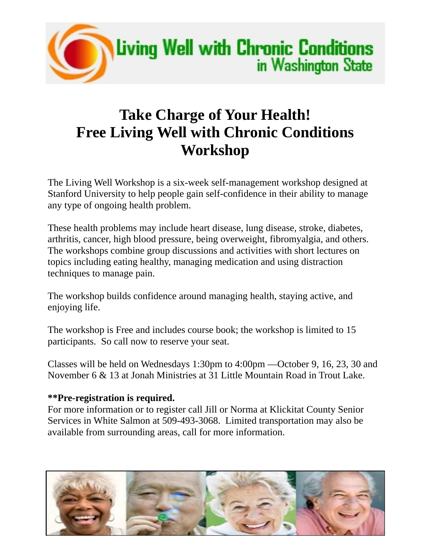

## **Take Charge of Your Health! Free Living Well with Chronic Conditions Workshop**

The Living Well Workshop is a six-week self-management workshop designed at Stanford University to help people gain self-confidence in their ability to manage any type of ongoing health problem.

These health problems may include heart disease, lung disease, stroke, diabetes, arthritis, cancer, high blood pressure, being overweight, fibromyalgia, and others. The workshops combine group discussions and activities with short lectures on topics including eating healthy, managing medication and using distraction techniques to manage pain.

The workshop builds confidence around managing health, staying active, and enjoying life.

The workshop is Free and includes course book; the workshop is limited to 15 participants. So call now to reserve your seat.

Classes will be held on Wednesdays 1:30pm to 4:00pm —October 9, 16, 23, 30 and November 6 & 13 at Jonah Ministries at 31 Little Mountain Road in Trout Lake.

#### **\*\*Pre-registration is required.**

For more information or to register call Jill or Norma at Klickitat County Senior Services in White Salmon at 509-493-3068. Limited transportation may also be available from surrounding areas, call for more information.